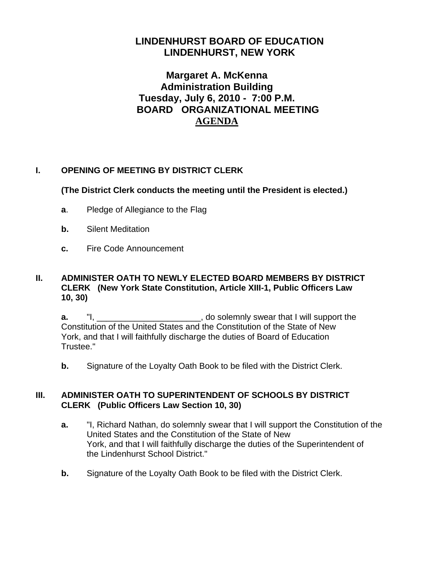# **LINDENHURST BOARD OF EDUCATION LINDENHURST, NEW YORK**

# **Margaret A. McKenna Administration Building Tuesday, July 6, 2010 - 7:00 P.M. BOARD ORGANIZATIONAL MEETING AGENDA**

## **I. OPENING OF MEETING BY DISTRICT CLERK**

## **(The District Clerk conducts the meeting until the President is elected.)**

- **a**. Pledge of Allegiance to the Flag
- **b.** Silent Meditation
- **c.** Fire Code Announcement

#### **II. ADMINISTER OATH TO NEWLY ELECTED BOARD MEMBERS BY DISTRICT CLERK (New York State Constitution, Article XIII-1, Public Officers Law 10, 30)**

**a.** "I, \_\_\_\_\_\_\_\_\_\_\_\_\_\_\_\_\_\_\_\_\_\_, do solemnly swear that I will support the Constitution of the United States and the Constitution of the State of New York, and that I will faithfully discharge the duties of Board of Education Trustee."

**b.** Signature of the Loyalty Oath Book to be filed with the District Clerk.

## **III. ADMINISTER OATH TO SUPERINTENDENT OF SCHOOLS BY DISTRICT CLERK (Public Officers Law Section 10, 30)**

- **a.** "I, Richard Nathan, do solemnly swear that I will support the Constitution of the United States and the Constitution of the State of New York, and that I will faithfully discharge the duties of the Superintendent of the Lindenhurst School District."
- **b.** Signature of the Loyalty Oath Book to be filed with the District Clerk.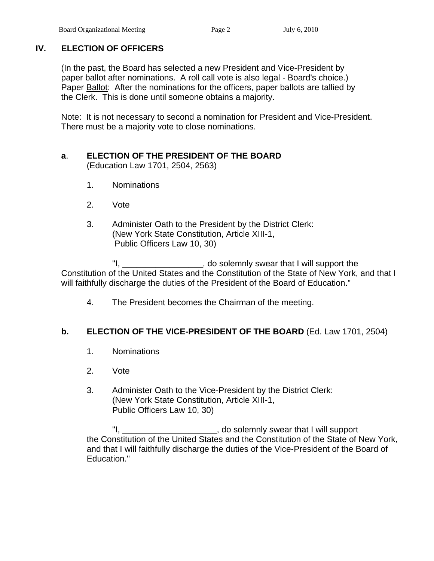# **IV. ELECTION OF OFFICERS**

(In the past, the Board has selected a new President and Vice-President by paper ballot after nominations. A roll call vote is also legal - Board's choice.) Paper Ballot: After the nominations for the officers, paper ballots are tallied by the Clerk. This is done until someone obtains a majority.

 Note: It is not necessary to second a nomination for President and Vice-President. There must be a majority vote to close nominations.

## **a**. **ELECTION OF THE PRESIDENT OF THE BOARD**

(Education Law 1701, 2504, 2563)

- 1. Nominations
- 2. Vote
- 3. Administer Oath to the President by the District Clerk: (New York State Constitution, Article XIII-1, Public Officers Law 10, 30)

 "I, \_\_\_\_\_\_\_\_\_\_\_\_\_\_\_\_\_, do solemnly swear that I will support the Constitution of the United States and the Constitution of the State of New York, and that I will faithfully discharge the duties of the President of the Board of Education."

4. The President becomes the Chairman of the meeting.

## **b. ELECTION OF THE VICE-PRESIDENT OF THE BOARD** (Ed. Law 1701, 2504)

- 1. Nominations
- 2. Vote
- 3. Administer Oath to the Vice-President by the District Clerk: (New York State Constitution, Article XIII-1, Public Officers Law 10, 30)

 "I, \_\_\_\_\_\_\_\_\_\_\_\_\_\_\_\_\_\_\_\_, do solemnly swear that I will support the Constitution of the United States and the Constitution of the State of New York, and that I will faithfully discharge the duties of the Vice-President of the Board of Education."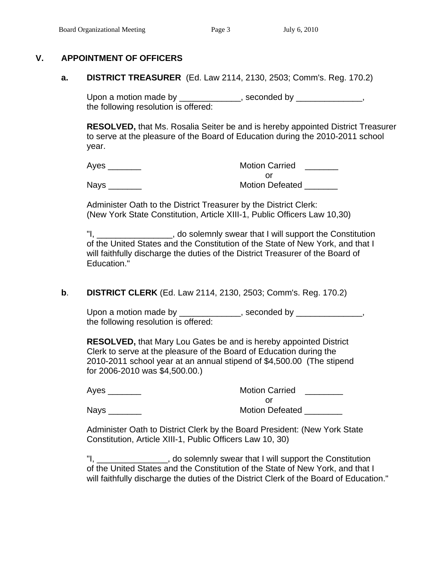## **V. APPOINTMENT OF OFFICERS**

 **a. DISTRICT TREASURER** (Ed. Law 2114, 2130, 2503; Comm's. Reg. 170.2)

Upon a motion made by \_\_\_\_\_\_\_\_\_\_\_\_\_, seconded by \_\_\_\_\_\_\_\_\_\_\_\_\_, the following resolution is offered:

**RESOLVED,** that Ms. Rosalia Seiter be and is hereby appointed District Treasurer to serve at the pleasure of the Board of Education during the 2010-2011 school year.

Ayes **Axes Axes Axes Axes Axes Axes Axes Axes Axes Axes Axes Axes Axes Axes Axes Axes Axes Axes Axes Axes Axes Axes Axes Axes Axes Axes Axes Axes Axes Axes Axes** or and the contract of the contract of the contract of the contract of the contract of the contract of the contract of the contract of the contract of the contract of the contract of the contract of the contract of the con

Nays **Nation Defeated Notion Defeated** 

 Administer Oath to the District Treasurer by the District Clerk: (New York State Constitution, Article XIII-1, Public Officers Law 10,30)

"I, The solemnly swear that I will support the Constitution of the United States and the Constitution of the State of New York, and that I will faithfully discharge the duties of the District Treasurer of the Board of Education."

#### **b**. **DISTRICT CLERK** (Ed. Law 2114, 2130, 2503; Comm's. Reg. 170.2)

Upon a motion made by \_\_\_\_\_\_\_\_\_\_\_\_\_, seconded by \_\_\_\_\_\_\_\_\_\_\_\_\_, the following resolution is offered:

 **RESOLVED,** that Mary Lou Gates be and is hereby appointed District Clerk to serve at the pleasure of the Board of Education during the 2010-2011 school year at an annual stipend of \$4,500.00 (The stipend for 2006-2010 was \$4,500.00.)

| Ayes        | <b>Motion Carried</b>  |
|-------------|------------------------|
|             |                        |
| <b>Nays</b> | <b>Motion Defeated</b> |

 Administer Oath to District Clerk by the Board President: (New York State Constitution, Article XIII-1, Public Officers Law 10, 30)

 "I, \_\_\_\_\_\_\_\_\_\_\_\_\_\_\_, do solemnly swear that I will support the Constitution of the United States and the Constitution of the State of New York, and that I will faithfully discharge the duties of the District Clerk of the Board of Education."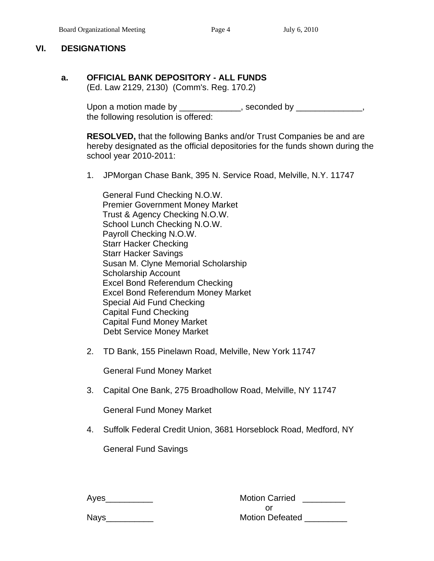#### **VI. DESIGNATIONS**

#### **a. OFFICIAL BANK DEPOSITORY - ALL FUNDS**  (Ed. Law 2129, 2130) (Comm's. Reg. 170.2)

Upon a motion made by \_\_\_\_\_\_\_\_\_\_\_\_\_, seconded by \_\_\_\_\_\_\_\_\_\_\_\_\_, the following resolution is offered:

> **RESOLVED,** that the following Banks and/or Trust Companies be and are hereby designated as the official depositories for the funds shown during the school year 2010-2011:

1. JPMorgan Chase Bank, 395 N. Service Road, Melville, N.Y. 11747

 General Fund Checking N.O.W. Premier Government Money Market Trust & Agency Checking N.O.W. School Lunch Checking N.O.W. Payroll Checking N.O.W. Starr Hacker Checking Starr Hacker Savings Susan M. Clyne Memorial Scholarship Scholarship Account Excel Bond Referendum Checking Excel Bond Referendum Money Market Special Aid Fund Checking Capital Fund Checking Capital Fund Money Market Debt Service Money Market

2. TD Bank, 155 Pinelawn Road, Melville, New York 11747

General Fund Money Market

3. Capital One Bank, 275 Broadhollow Road, Melville, NY 11747

General Fund Money Market

4. Suffolk Federal Credit Union, 3681 Horseblock Road, Medford, NY

General Fund Savings

| Ayes        | <b>Motion Carried</b>  |
|-------------|------------------------|
|             |                        |
| <b>Nays</b> | <b>Motion Defeated</b> |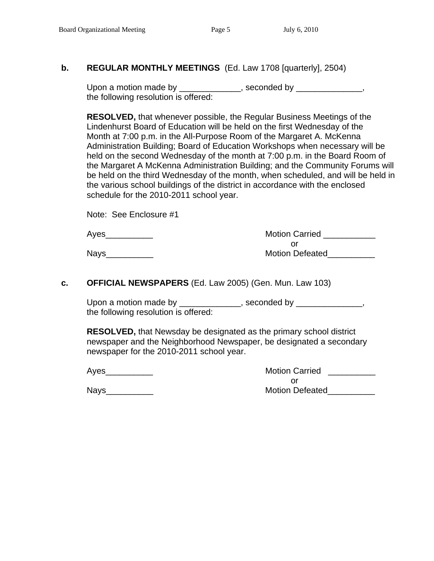## **b. REGULAR MONTHLY MEETINGS** (Ed. Law 1708 [quarterly], 2504)

Upon a motion made by \_\_\_\_\_\_\_\_\_\_\_\_\_, seconded by \_\_\_\_\_\_\_\_\_\_\_\_, the following resolution is offered:

**RESOLVED,** that whenever possible, the Regular Business Meetings of the Lindenhurst Board of Education will be held on the first Wednesday of the Month at 7:00 p.m. in the All-Purpose Room of the Margaret A. McKenna Administration Building; Board of Education Workshops when necessary will be held on the second Wednesday of the month at 7:00 p.m. in the Board Room of the Margaret A McKenna Administration Building; and the Community Forums will be held on the third Wednesday of the month, when scheduled, and will be held in the various school buildings of the district in accordance with the enclosed schedule for the 2010-2011 school year.

Note: See Enclosure #1

| Aves | <b>Motion Carried</b>  |
|------|------------------------|
|      |                        |
| Nays | <b>Motion Defeated</b> |

#### **c. OFFICIAL NEWSPAPERS** (Ed. Law 2005) (Gen. Mun. Law 103)

Upon a motion made by \_\_\_\_\_\_\_\_\_\_\_\_\_, seconded by \_\_\_\_\_\_\_\_\_\_\_\_\_, the following resolution is offered:

**RESOLVED,** that Newsday be designated as the primary school district newspaper and the Neighborhood Newspaper, be designated a secondary newspaper for the 2010-2011 school year.

| Ayes | <b>Motion Carried</b>  |
|------|------------------------|
|      |                        |
| Nays | <b>Motion Defeated</b> |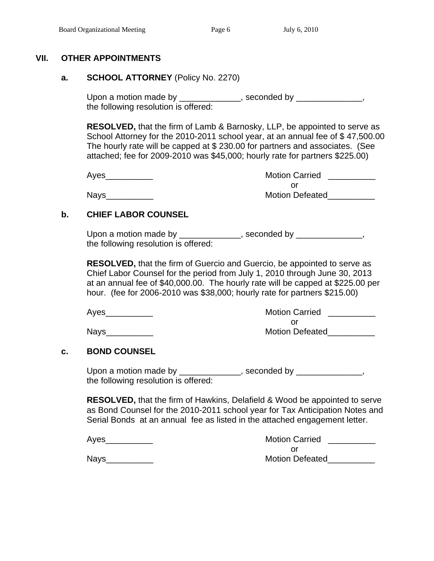### **VII. OTHER APPOINTMENTS**

#### **a. SCHOOL ATTORNEY** (Policy No. 2270)

Upon a motion made by \_\_\_\_\_\_\_\_\_\_\_\_\_, seconded by \_\_\_\_\_\_\_\_\_\_\_\_\_, the following resolution is offered:

 **RESOLVED,** that the firm of Lamb & Barnosky, LLP, be appointed to serve as School Attorney for the 2010-2011 school year, at an annual fee of \$47,500.00 The hourly rate will be capped at \$ 230.00 for partners and associates. (See attached; fee for 2009-2010 was \$45,000; hourly rate for partners \$225.00)

 Ayes\_\_\_\_\_\_\_\_\_\_ Motion Carried \_\_\_\_\_\_\_\_\_\_ or and the state of the state of the state of the state of the state of the state of the state of the state of Nays\_\_\_\_\_\_\_\_\_\_ Motion Defeated\_\_\_\_\_\_\_\_\_\_

## **b. CHIEF LABOR COUNSEL**

Upon a motion made by \_\_\_\_\_\_\_\_\_\_\_\_\_, seconded by \_\_\_\_\_\_\_\_\_\_\_\_\_, the following resolution is offered:

 **RESOLVED,** that the firm of Guercio and Guercio, be appointed to serve as Chief Labor Counsel for the period from July 1, 2010 through June 30, 2013 at an annual fee of \$40,000.00. The hourly rate will be capped at \$225.00 per hour. (fee for 2006-2010 was \$38,000; hourly rate for partners \$215.00)

Ayes extending the Motion Carried Ayes and Motion Carried Ayes and Motion Carried Ayes and Motion Carried Ayes or and the state of the state of the state of the state of the state of the state of the state of the state of Nays extending the contract of the Motion Defeated

#### **c. BOND COUNSEL**

Upon a motion made by \_\_\_\_\_\_\_\_\_\_\_\_\_, seconded by \_\_\_\_\_\_\_\_\_\_\_\_\_, the following resolution is offered:

 **RESOLVED,** that the firm of Hawkins, Delafield & Wood be appointed to serve as Bond Counsel for the 2010-2011 school year for Tax Anticipation Notes and Serial Bonds at an annual fee as listed in the attached engagement letter.

| Ayes | <b>Motion Carried</b>  |
|------|------------------------|
|      |                        |
| Nays | <b>Motion Defeated</b> |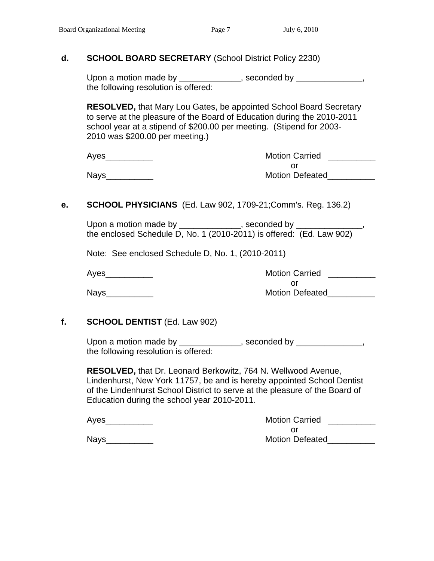#### **d. SCHOOL BOARD SECRETARY** (School District Policy 2230)

Upon a motion made by \_\_\_\_\_\_\_\_\_\_\_\_\_, seconded by \_\_\_\_\_\_\_\_\_\_\_\_, the following resolution is offered:

 **RESOLVED,** that Mary Lou Gates, be appointed School Board Secretary to serve at the pleasure of the Board of Education during the 2010-2011 school year at a stipend of \$200.00 per meeting. (Stipend for 2003- 2010 was \$200.00 per meeting.)

| Ayes | <b>Motion Carried</b>  |
|------|------------------------|
|      |                        |
| Nays | <b>Motion Defeated</b> |

## **e. SCHOOL PHYSICIANS** (Ed. Law 902, 1709-21;Comm's. Reg. 136.2)

| Upon a motion made by | , seconded by                                                        |
|-----------------------|----------------------------------------------------------------------|
|                       | the enclosed Schedule D, No. 1 (2010-2011) is offered: (Ed. Law 902) |

Note: See enclosed Schedule D, No. 1, (2010-2011)

 Ayes\_\_\_\_\_\_\_\_\_\_ Motion Carried \_\_\_\_\_\_\_\_\_\_ or and the state of the state of the state of the state of the state of the state of the state of the state of Nays\_\_\_\_\_\_\_\_\_\_ Motion Defeated\_\_\_\_\_\_\_\_\_\_

## **f. SCHOOL DENTIST** (Ed. Law 902)

Upon a motion made by \_\_\_\_\_\_\_\_\_\_\_\_, seconded by \_\_\_\_\_\_\_\_\_\_\_\_, the following resolution is offered:

 **RESOLVED,** that Dr. Leonard Berkowitz, 764 N. Wellwood Avenue, Lindenhurst, New York 11757, be and is hereby appointed School Dentist of the Lindenhurst School District to serve at the pleasure of the Board of Education during the school year 2010-2011.

| Aves | <b>Motion Carried</b>  |
|------|------------------------|
|      |                        |
| Navs | <b>Motion Defeated</b> |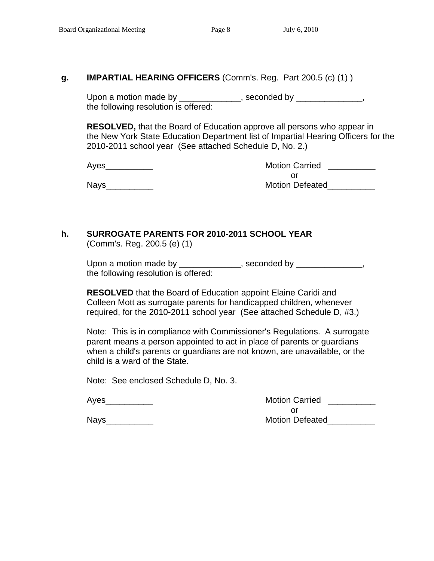#### **g. IMPARTIAL HEARING OFFICERS** (Comm's. Reg. Part 200.5 (c) (1) )

Upon a motion made by \_\_\_\_\_\_\_\_\_\_\_\_\_, seconded by \_\_\_\_\_\_\_\_\_\_\_\_\_, the following resolution is offered:

**RESOLVED,** that the Board of Education approve all persons who appear in the New York State Education Department list of Impartial Hearing Officers for the 2010-2011 school year (See attached Schedule D, No. 2.)

 Ayes\_\_\_\_\_\_\_\_\_\_ Motion Carried \_\_\_\_\_\_\_\_\_\_ or and the state of the state of the state of the state of the state of the state of the state of the state of Nays\_\_\_\_\_\_\_\_\_\_ Motion Defeated\_\_\_\_\_\_\_\_\_\_

#### **h. SURROGATE PARENTS FOR 2010-2011 SCHOOL YEAR** (Comm's. Reg. 200.5 (e) (1)

Upon a motion made by \_\_\_\_\_\_\_\_\_\_\_\_\_, seconded by \_\_\_\_\_\_\_\_\_\_\_\_\_, the following resolution is offered:

 **RESOLVED** that the Board of Education appoint Elaine Caridi and Colleen Mott as surrogate parents for handicapped children, whenever required, for the 2010-2011 school year (See attached Schedule D, #3.)

Note: This is in compliance with Commissioner's Regulations. A surrogate parent means a person appointed to act in place of parents or guardians when a child's parents or guardians are not known, are unavailable, or the child is a ward of the State.

Note: See enclosed Schedule D, No. 3.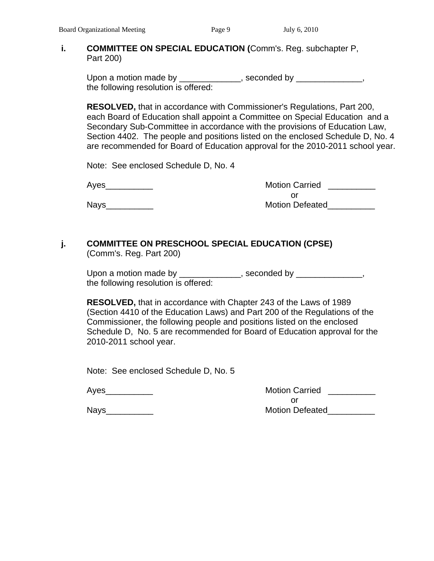#### **i. COMMITTEE ON SPECIAL EDUCATION (**Comm's. Reg. subchapter P, Part 200)

Upon a motion made by \_\_\_\_\_\_\_\_\_\_\_\_\_, seconded by \_\_\_\_\_\_\_\_\_\_\_\_\_, the following resolution is offered:

 **RESOLVED,** that in accordance with Commissioner's Regulations, Part 200, each Board of Education shall appoint a Committee on Special Education and a Secondary Sub-Committee in accordance with the provisions of Education Law, Section 4402. The people and positions listed on the enclosed Schedule D, No. 4 are recommended for Board of Education approval for the 2010-2011 school year.

Note: See enclosed Schedule D, No. 4

 Ayes\_\_\_\_\_\_\_\_\_\_ Motion Carried \_\_\_\_\_\_\_\_\_\_ or and the state of the state of the state of the state of the state of the state of the state of the state of Nays extending the set of the Motion Defeated

#### **j. COMMITTEE ON PRESCHOOL SPECIAL EDUCATION (CPSE)** (Comm's. Reg. Part 200)

Upon a motion made by \_\_\_\_\_\_\_\_\_\_\_\_\_, seconded by \_\_\_\_\_\_\_\_\_\_\_\_\_, the following resolution is offered:

 **RESOLVED,** that in accordance with Chapter 243 of the Laws of 1989 (Section 4410 of the Education Laws) and Part 200 of the Regulations of the Commissioner, the following people and positions listed on the enclosed Schedule D, No. 5 are recommended for Board of Education approval for the 2010-2011 school year.

Note: See enclosed Schedule D, No. 5

Ayes extending the matrix of the Motion Carried Ayes and the Motion Carried and the Motion Carried and the Motion Carried and the Motion Carried and the Motion Carried and the Motion Carried and the Motion Carried and the or and the contract of the contract of the contract of the contract of the contract of the contract of the contract of the contract of the contract of the contract of the contract of the contract of the contract of the con Nays extending the matrix of the Motion Defeated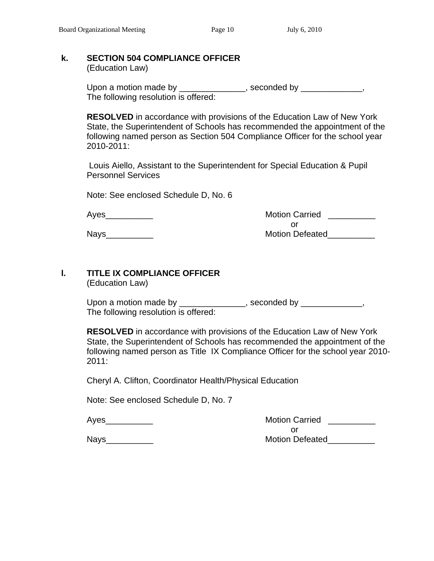### **k. SECTION 504 COMPLIANCE OFFICER**

(Education Law)

| Upon a motion made by                | , seconded by |
|--------------------------------------|---------------|
| The following resolution is offered: |               |

**RESOLVED** in accordance with provisions of the Education Law of New York State, the Superintendent of Schools has recommended the appointment of the following named person as Section 504 Compliance Officer for the school year 2010-2011:

 Louis Aiello, Assistant to the Superintendent for Special Education & Pupil Personnel Services

Note: See enclosed Schedule D, No. 6

Ayes **Abulum Carried** 2014 **Motion Carried** 2014 or and the contract of the contract of the contract of the contract of the contract of the contract of the contract of the contract of the contract of the contract of the contract of the contract of the contract of the con Nays extending the contract of the Motion Defeated

# **l. TITLE IX COMPLIANCE OFFICER**

(Education Law)

Upon a motion made by \_\_\_\_\_\_\_\_\_\_\_\_\_\_, seconded by \_\_\_\_\_\_\_\_\_\_\_\_, The following resolution is offered:

**RESOLVED** in accordance with provisions of the Education Law of New York State, the Superintendent of Schools has recommended the appointment of the following named person as Title IX Compliance Officer for the school year 2010- 2011:

Cheryl A. Clifton, Coordinator Health/Physical Education

Note: See enclosed Schedule D, No. 7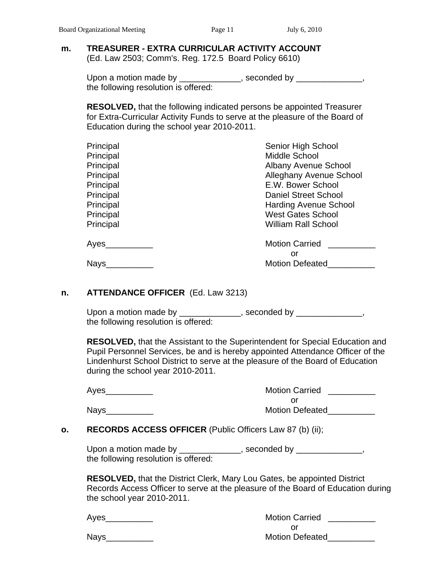#### **m. TREASURER - EXTRA CURRICULAR ACTIVITY ACCOUNT**  (Ed. Law 2503; Comm's. Reg. 172.5 Board Policy 6610)

Upon a motion made by \_\_\_\_\_\_\_\_\_\_\_\_\_, seconded by \_\_\_\_\_\_\_\_\_\_\_\_,

the following resolution is offered:

 **RESOLVED,** that the following indicated persons be appointed Treasurer for Extra-Curricular Activity Funds to serve at the pleasure of the Board of Education during the school year 2010-2011.

| Principal | Senior High School           |
|-----------|------------------------------|
| Principal | Middle School                |
| Principal | <b>Albany Avenue School</b>  |
| Principal | Alleghany Avenue School      |
| Principal | E.W. Bower School            |
| Principal | Daniel Street School         |
| Principal | <b>Harding Avenue School</b> |
| Principal | <b>West Gates School</b>     |
| Principal | <b>William Rall School</b>   |
| Ayes      | <b>Motion Carried</b>        |
|           | or                           |
| Nays      | <b>Motion Defeated</b>       |
|           |                              |

#### **n. ATTENDANCE OFFICER** (Ed. Law 3213)

Upon a motion made by \_\_\_\_\_\_\_\_\_\_\_\_, seconded by \_\_\_\_\_\_\_\_\_\_\_\_\_, the following resolution is offered:

**RESOLVED,** that the Assistant to the Superintendent for Special Education and Pupil Personnel Services, be and is hereby appointed Attendance Officer of the Lindenhurst School District to serve at the pleasure of the Board of Education during the school year 2010-2011.

| Ayes | <b>Motion Carried</b>  |
|------|------------------------|
|      | Ωľ                     |
| Nays | <b>Motion Defeated</b> |

#### **o. RECORDS ACCESS OFFICER** (Public Officers Law 87 (b) (ii);

Upon a motion made by \_\_\_\_\_\_\_\_\_\_\_\_\_, seconded by \_\_\_\_\_\_\_\_\_\_\_\_\_, the following resolution is offered:

**RESOLVED,** that the District Clerk, Mary Lou Gates, be appointed District Records Access Officer to serve at the pleasure of the Board of Education during the school year 2010-2011.

| Aves | <b>Motion Carried</b>  |
|------|------------------------|
|      |                        |
| Navs | <b>Motion Defeated</b> |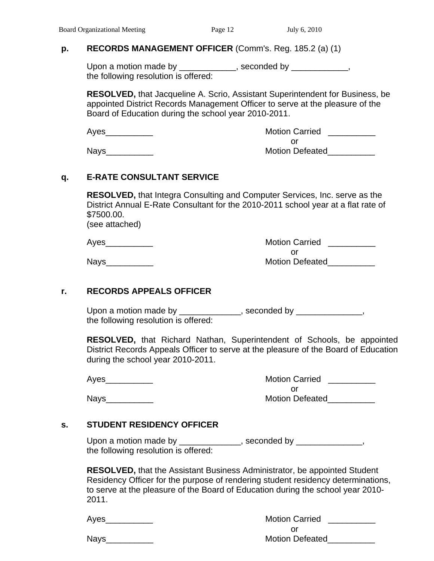### **p. RECORDS MANAGEMENT OFFICER** (Comm's. Reg. 185.2 (a) (1)

Upon a motion made by \_\_\_\_\_\_\_\_\_\_\_, seconded by \_\_\_\_\_\_\_\_\_\_, the following resolution is offered:

**RESOLVED,** that Jacqueline A. Scrio, Assistant Superintendent for Business, be appointed District Records Management Officer to serve at the pleasure of the Board of Education during the school year 2010-2011.

 Ayes\_\_\_\_\_\_\_\_\_\_ Motion Carried \_\_\_\_\_\_\_\_\_\_ or and the contract of the contract of the contract of the contract of the contract of the contract of the contract of the contract of the contract of the contract of the contract of the contract of the contract of the con Nays\_\_\_\_\_\_\_\_\_\_ Motion Defeated\_\_\_\_\_\_\_\_\_\_

## **q. E-RATE CONSULTANT SERVICE**

 **RESOLVED,** that Integra Consulting and Computer Services, Inc. serve as the District Annual E-Rate Consultant for the 2010-2011 school year at a flat rate of \$7500.00.

(see attached)

| Ayes | <b>Motion Carried</b>  |  |
|------|------------------------|--|
|      |                        |  |
| Navs | <b>Motion Defeated</b> |  |

## **r. RECORDS APPEALS OFFICER**

Upon a motion made by \_\_\_\_\_\_\_\_\_\_\_\_\_, seconded by \_\_\_\_\_\_\_\_\_\_\_\_\_, the following resolution is offered:

**RESOLVED,** that Richard Nathan, Superintendent of Schools, be appointed District Records Appeals Officer to serve at the pleasure of the Board of Education during the school year 2010-2011.

 Ayes\_\_\_\_\_\_\_\_\_\_ Motion Carried \_\_\_\_\_\_\_\_\_\_ or and the contract of the contract of the contract of the contract of the contract of the contract of the contract of the contract of the contract of the contract of the contract of the contract of the contract of the con Nays\_\_\_\_\_\_\_\_\_\_ Motion Defeated\_\_\_\_\_\_\_\_\_\_

# **s. STUDENT RESIDENCY OFFICER**

Upon a motion made by \_\_\_\_\_\_\_\_\_\_\_\_\_, seconded by \_\_\_\_\_\_\_\_\_\_\_\_\_, the following resolution is offered:

**RESOLVED,** that the Assistant Business Administrator, be appointed Student Residency Officer for the purpose of rendering student residency determinations, to serve at the pleasure of the Board of Education during the school year 2010- 2011.

| Aves | <b>Motion Carried</b>  |
|------|------------------------|
|      |                        |
| Navs | <b>Motion Defeated</b> |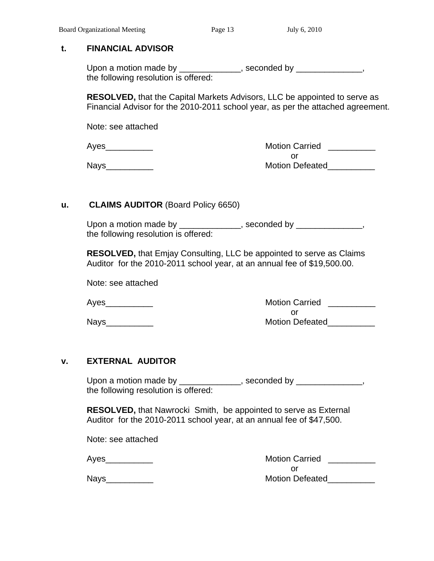#### **t. FINANCIAL ADVISOR**

Upon a motion made by \_\_\_\_\_\_\_\_\_\_\_\_\_, seconded by \_\_\_\_\_\_\_\_\_\_\_\_\_, the following resolution is offered:

 **RESOLVED,** that the Capital Markets Advisors, LLC be appointed to serve as Financial Advisor for the 2010-2011 school year, as per the attached agreement.

Note: see attached

| Ayes | <b>Motion Carried</b>  |  |
|------|------------------------|--|
|      |                        |  |
| Nays | <b>Motion Defeated</b> |  |

#### **u. CLAIMS AUDITOR** (Board Policy 6650)

Upon a motion made by \_\_\_\_\_\_\_\_\_\_\_\_\_, seconded by \_\_\_\_\_\_\_\_\_\_\_\_\_, the following resolution is offered:

 **RESOLVED,** that Emjay Consulting, LLC be appointed to serve as Claims Auditor for the 2010-2011 school year, at an annual fee of \$19,500.00.

Note: see attached

 Ayes\_\_\_\_\_\_\_\_\_\_ Motion Carried \_\_\_\_\_\_\_\_\_\_ or and the contract of the contract of the contract of the contract of the contract of the contract of the contract of the contract of the contract of the contract of the contract of the contract of the contract of the con Nays\_\_\_\_\_\_\_\_\_\_ Motion Defeated\_\_\_\_\_\_\_\_\_\_

#### **v. EXTERNAL AUDITOR**

Upon a motion made by \_\_\_\_\_\_\_\_\_\_\_\_\_, seconded by \_\_\_\_\_\_\_\_\_\_\_\_\_, the following resolution is offered:

 **RESOLVED,** that Nawrocki Smith, be appointed to serve as External Auditor for the 2010-2011 school year, at an annual fee of \$47,500.

Note: see attached

| Ν<br>ּ<br>u O<br>י רז |  |
|-----------------------|--|
|-----------------------|--|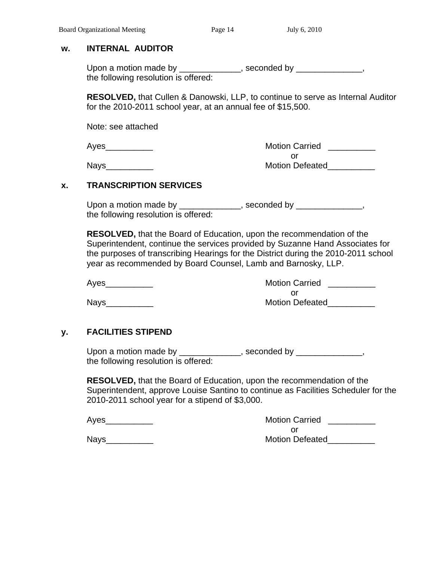#### **w. INTERNAL AUDITOR**

Upon a motion made by \_\_\_\_\_\_\_\_\_\_\_\_\_, seconded by \_\_\_\_\_\_\_\_\_\_\_\_\_, the following resolution is offered:

 **RESOLVED,** that Cullen & Danowski, LLP, to continue to serve as Internal Auditor for the 2010-2011 school year, at an annual fee of \$15,500.

Note: see attached

 Ayes\_\_\_\_\_\_\_\_\_\_ Motion Carried \_\_\_\_\_\_\_\_\_\_ or and the contract of the contract of the contract of the contract of the contract of the contract of the contract of the contract of the contract of the contract of the contract of the contract of the contract of the con Nays\_\_\_\_\_\_\_\_\_\_ Motion Defeated\_\_\_\_\_\_\_\_\_\_

#### **x. TRANSCRIPTION SERVICES**

Upon a motion made by \_\_\_\_\_\_\_\_\_\_\_\_\_, seconded by \_\_\_\_\_\_\_\_\_\_\_\_\_, the following resolution is offered:

 **RESOLVED,** that the Board of Education, upon the recommendation of the Superintendent, continue the services provided by Suzanne Hand Associates for the purposes of transcribing Hearings for the District during the 2010-2011 school year as recommended by Board Counsel, Lamb and Barnosky, LLP.

 Ayes\_\_\_\_\_\_\_\_\_\_ Motion Carried \_\_\_\_\_\_\_\_\_\_ or and the contract of the contract of the contract of the contract of the contract of the contract of the contract of the contract of the contract of the contract of the contract of the contract of the contract of the con Nays\_\_\_\_\_\_\_\_\_\_ Motion Defeated\_\_\_\_\_\_\_\_\_\_

## **y. FACILITIES STIPEND**

Upon a motion made by \_\_\_\_\_\_\_\_\_\_\_\_\_, seconded by \_\_\_\_\_\_\_\_\_\_\_\_\_, the following resolution is offered:

 **RESOLVED,** that the Board of Education, upon the recommendation of the Superintendent, approve Louise Santino to continue as Facilities Scheduler for the 2010-2011 school year for a stipend of \$3,000.

| Ayes |  |
|------|--|
|      |  |
|      |  |
|      |  |

| Aves | <b>Motion Carried</b>  |  |
|------|------------------------|--|
|      |                        |  |
| Nays | <b>Motion Defeated</b> |  |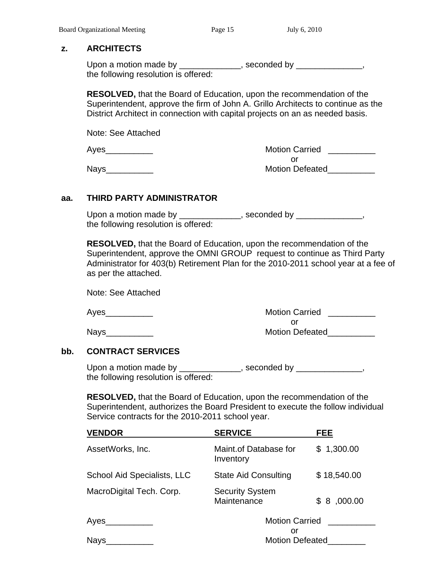#### **z. ARCHITECTS**

Upon a motion made by \_\_\_\_\_\_\_\_\_\_\_\_, seconded by \_\_\_\_\_\_\_\_\_\_\_\_, the following resolution is offered:

 **RESOLVED,** that the Board of Education, upon the recommendation of the Superintendent, approve the firm of John A. Grillo Architects to continue as the District Architect in connection with capital projects on an as needed basis.

Note: See Attached

 Ayes\_\_\_\_\_\_\_\_\_\_ Motion Carried \_\_\_\_\_\_\_\_\_\_ or and the contract of the contract of the contract of the contract of the contract of the contract of the contract of the contract of the contract of the contract of the contract of the contract of the contract of the con Nays extending the contract of the Motion Defeated

#### **aa. THIRD PARTY ADMINISTRATOR**

Upon a motion made by \_\_\_\_\_\_\_\_\_\_\_\_\_, seconded by \_\_\_\_\_\_\_\_\_\_\_\_\_\_\_\_\_, the following resolution is offered:

 **RESOLVED,** that the Board of Education, upon the recommendation of the Superintendent, approve the OMNI GROUP request to continue as Third Party Administrator for 403(b) Retirement Plan for the 2010-2011 school year at a fee of as per the attached.

Note: See Attached

Ayes extending the matrix of the Motion Carried Ayes and the Motion Carried and the Motion Carried and the Motion Carried and the Motion Carried and the Motion Carried and the Motion Carried and the Motion Carried and the or and the contract of the contract of the contract of the contract of the contract of the contract of the contract of the contract of the contract of the contract of the contract of the contract of the contract of the con Nays extending the contract of the Motion Defeated

#### **bb. CONTRACT SERVICES**

Upon a motion made by \_\_\_\_\_\_\_\_\_\_\_\_\_, seconded by \_\_\_\_\_\_\_\_\_\_\_\_\_, the following resolution is offered:

 **RESOLVED,** that the Board of Education, upon the recommendation of the Superintendent, authorizes the Board President to execute the follow individual Service contracts for the 2010-2011 school year.

| <b>VENDOR</b>               | <b>SERVICE</b>                        | <b>FEE</b>            |  |
|-----------------------------|---------------------------------------|-----------------------|--|
| AssetWorks, Inc.            | Maint.of Database for<br>Inventory    | \$1,300.00            |  |
| School Aid Specialists, LLC | <b>State Aid Consulting</b>           | \$18,540.00           |  |
| MacroDigital Tech. Corp.    | <b>Security System</b><br>Maintenance | \$8,000.00            |  |
| Ayes                        | or                                    | <b>Motion Carried</b> |  |
| Nays                        | <b>Motion Defeated</b>                |                       |  |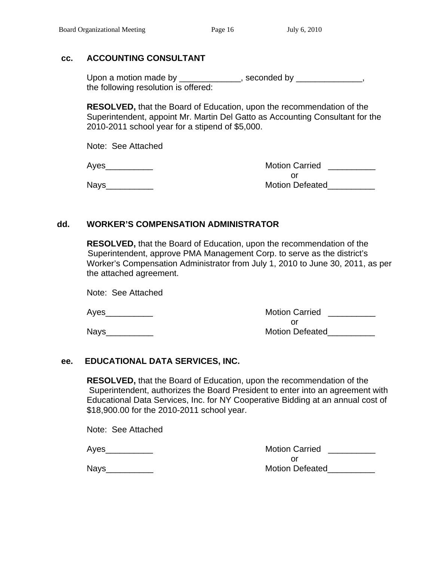## **cc. ACCOUNTING CONSULTANT**

Upon a motion made by \_\_\_\_\_\_\_\_\_\_\_\_\_, seconded by \_\_\_\_\_\_\_\_\_\_\_\_\_, the following resolution is offered:

 **RESOLVED,** that the Board of Education, upon the recommendation of the Superintendent, appoint Mr. Martin Del Gatto as Accounting Consultant for the 2010-2011 school year for a stipend of \$5,000.

Note: See Attached

 Ayes\_\_\_\_\_\_\_\_\_\_ Motion Carried \_\_\_\_\_\_\_\_\_\_ or and the contract of the contract of the contract of the contract of the contract of the contract of the contract of the contract of the contract of the contract of the contract of the contract of the contract of the con Nays\_\_\_\_\_\_\_\_\_\_ Motion Defeated\_\_\_\_\_\_\_\_\_\_

## **dd. WORKER'S COMPENSATION ADMINISTRATOR**

 **RESOLVED,** that the Board of Education, upon the recommendation of the Superintendent, approve PMA Management Corp. to serve as the district's Worker's Compensation Administrator from July 1, 2010 to June 30, 2011, as per the attached agreement.

Note: See Attached

| Aves | <b>Motion Carried</b>  |
|------|------------------------|
|      |                        |
| Nays | <b>Motion Defeated</b> |

#### **ee. EDUCATIONAL DATA SERVICES, INC.**

 **RESOLVED,** that the Board of Education, upon the recommendation of the Superintendent, authorizes the Board President to enter into an agreement with Educational Data Services, Inc. for NY Cooperative Bidding at an annual cost of \$18,900.00 for the 2010-2011 school year.

Note: See Attached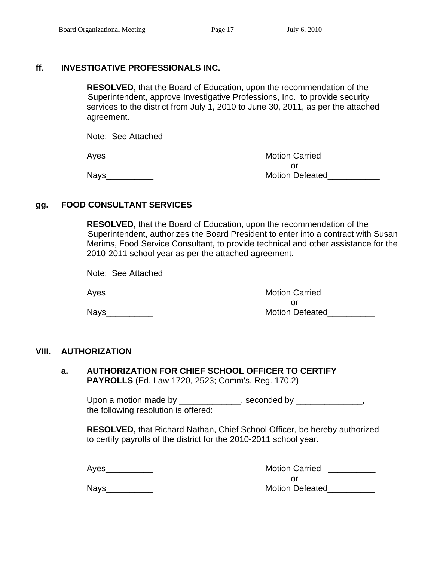## **ff. INVESTIGATIVE PROFESSIONALS INC.**

 **RESOLVED,** that the Board of Education, upon the recommendation of the Superintendent, approve Investigative Professions, Inc. to provide security services to the district from July 1, 2010 to June 30, 2011, as per the attached agreement.

Note: See Attached

Ayes **Axes** Ayes **Axes** Ayes **Axes** Assembly Motion Carried **Axes** Ayes **Axes** Ayes **Axes** Ayes **Axes** Ayes **Axes** Ayes **Ayes Ayes Ayes Ayes Ayes Ayes Ayes Ayes Ayes Ayes Ayes Ayes Ayes Ayes Aye** or and the contract of the contract of the contract of the contract of the contract of the contract of the contract of the contract of the contract of the contract of the contract of the contract of the contract of the con Nays\_\_\_\_\_\_\_\_\_\_ Motion Defeated\_\_\_\_\_\_\_\_\_\_\_

## **gg. FOOD CONSULTANT SERVICES**

 **RESOLVED,** that the Board of Education, upon the recommendation of the Superintendent, authorizes the Board President to enter into a contract with Susan Merims, Food Service Consultant, to provide technical and other assistance for the 2010-2011 school year as per the attached agreement.

Note: See Attached

Ayes **Axis Allen Arrives Ayes Axis Assembly** Motion Carried **Ayes Axis Assembly** or and the contract of the contract of the contract of the contract of the contract of the contract of the contract of the contract of the contract of the contract of the contract of the contract of the contract of the con Nays\_\_\_\_\_\_\_\_\_\_ Motion Defeated\_\_\_\_\_\_\_\_\_\_

## **VIII. AUTHORIZATION**

**a. AUTHORIZATION FOR CHIEF SCHOOL OFFICER TO CERTIFY PAYROLLS** (Ed. Law 1720, 2523; Comm's. Reg. 170.2)

Upon a motion made by \_\_\_\_\_\_\_\_\_\_\_\_\_, seconded by \_\_\_\_\_\_\_\_\_\_\_\_\_, the following resolution is offered:

**RESOLVED,** that Richard Nathan, Chief School Officer, be hereby authorized to certify payrolls of the district for the 2010-2011 school year.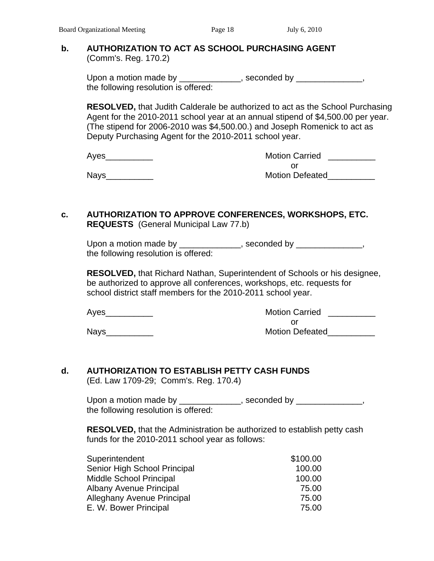#### **b. AUTHORIZATION TO ACT AS SCHOOL PURCHASING AGENT** (Comm's. Reg. 170.2)

Upon a motion made by \_\_\_\_\_\_\_\_\_\_\_\_\_, seconded by \_\_\_\_\_\_\_\_\_\_\_\_\_, the following resolution is offered:

**RESOLVED,** that Judith Calderale be authorized to act as the School Purchasing Agent for the 2010-2011 school year at an annual stipend of \$4,500.00 per year. (The stipend for 2006-2010 was \$4,500.00.) and Joseph Romenick to act as Deputy Purchasing Agent for the 2010-2011 school year.

| Ayes | <b>Motion Carried</b>  |
|------|------------------------|
|      |                        |
| Nays | <b>Motion Defeated</b> |

#### **c. AUTHORIZATION TO APPROVE CONFERENCES, WORKSHOPS, ETC. REQUESTS** (General Municipal Law 77.b)

Upon a motion made by \_\_\_\_\_\_\_\_\_\_\_\_\_, seconded by \_\_\_\_\_\_\_\_\_\_\_\_\_, the following resolution is offered:

**RESOLVED,** that Richard Nathan, Superintendent of Schools or his designee, be authorized to approve all conferences, workshops, etc. requests for school district staff members for the 2010-2011 school year.

| Ayes | <b>Motion Carried</b>  |
|------|------------------------|
|      |                        |
| Nays | <b>Motion Defeated</b> |

# **d. AUTHORIZATION TO ESTABLISH PETTY CASH FUNDS**

(Ed. Law 1709-29; Comm's. Reg. 170.4)

| Upon a motion made by                | , seconded by |
|--------------------------------------|---------------|
| the following resolution is offered: |               |

 **RESOLVED,** that the Administration be authorized to establish petty cash funds for the 2010-2011 school year as follows:

| Superintendent                    | \$100.00 |
|-----------------------------------|----------|
| Senior High School Principal      | 100.00   |
| <b>Middle School Principal</b>    | 100.00   |
| Albany Avenue Principal           | 75.00    |
| <b>Alleghany Avenue Principal</b> | 75.00    |
| E. W. Bower Principal             | 75.00    |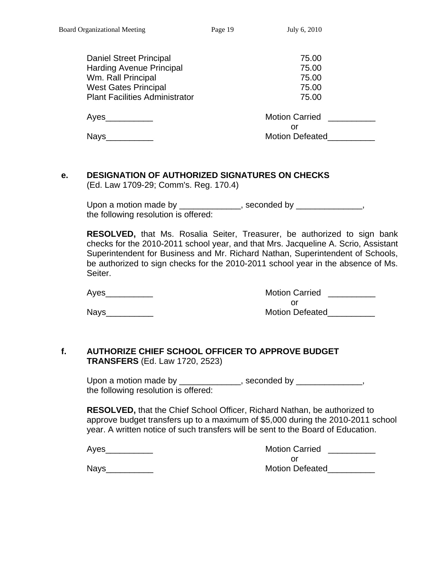| <b>Daniel Street Principal</b>        | 75.00                  |
|---------------------------------------|------------------------|
| <b>Harding Avenue Principal</b>       | 75.00                  |
| Wm. Rall Principal                    | 75.00                  |
| <b>West Gates Principal</b>           | 75.00                  |
| <b>Plant Facilities Administrator</b> | 75.00                  |
| Ayes                                  | <b>Motion Carried</b>  |
|                                       | or                     |
| <b>Nays</b>                           | <b>Motion Defeated</b> |

## **e. DESIGNATION OF AUTHORIZED SIGNATURES ON CHECKS**

(Ed. Law 1709-29; Comm's. Reg. 170.4)

Upon a motion made by \_\_\_\_\_\_\_\_\_\_\_\_\_, seconded by \_\_\_\_\_\_\_\_\_\_\_\_, the following resolution is offered:

**RESOLVED,** that Ms. Rosalia Seiter, Treasurer, be authorized to sign bank checks for the 2010-2011 school year, and that Mrs. Jacqueline A. Scrio, Assistant Superintendent for Business and Mr. Richard Nathan, Superintendent of Schools, be authorized to sign checks for the 2010-2011 school year in the absence of Ms. Seiter.

Ayes extending the matrix of the Motion Carried Ayes and the Motion Carried and the Motion Carried and the Motion Carried and the Motion Carried and the Motion Carried and the Motion Carried and the Motion Carried and the or and the contract of the contract of the contract of the contract of the contract of the contract of the contract of the contract of the contract of the contract of the contract of the contract of the contract of the con Nays\_\_\_\_\_\_\_\_\_\_ Motion Defeated\_\_\_\_\_\_\_\_\_\_

## **f. AUTHORIZE CHIEF SCHOOL OFFICER TO APPROVE BUDGET TRANSFERS** (Ed. Law 1720, 2523)

Upon a motion made by \_\_\_\_\_\_\_\_\_\_\_\_\_, seconded by \_\_\_\_\_\_\_\_\_\_\_\_\_, the following resolution is offered:

**RESOLVED,** that the Chief School Officer, Richard Nathan, be authorized to approve budget transfers up to a maximum of \$5,000 during the 2010-2011 school year. A written notice of such transfers will be sent to the Board of Education.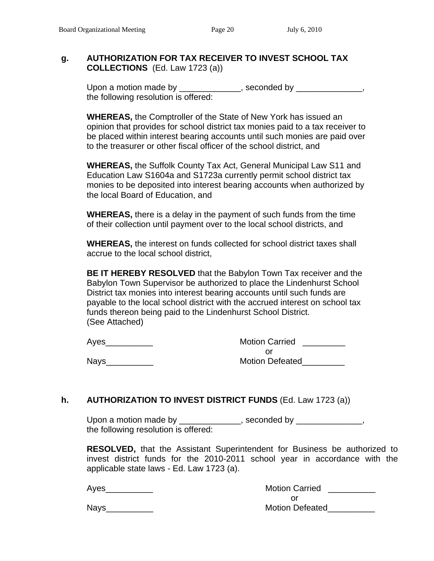#### **g. AUTHORIZATION FOR TAX RECEIVER TO INVEST SCHOOL TAX COLLECTIONS** (Ed. Law 1723 (a))

Upon a motion made by \_\_\_\_\_\_\_\_\_\_\_\_\_, seconded by \_\_\_\_\_\_\_\_\_\_\_\_\_, the following resolution is offered:

 **WHEREAS,** the Comptroller of the State of New York has issued an opinion that provides for school district tax monies paid to a tax receiver to be placed within interest bearing accounts until such monies are paid over to the treasurer or other fiscal officer of the school district, and

**WHEREAS,** the Suffolk County Tax Act, General Municipal Law S11 and Education Law S1604a and S1723a currently permit school district tax monies to be deposited into interest bearing accounts when authorized by the local Board of Education, and

 **WHEREAS,** there is a delay in the payment of such funds from the time of their collection until payment over to the local school districts, and

 **WHEREAS,** the interest on funds collected for school district taxes shall accrue to the local school district,

 **BE IT HEREBY RESOLVED** that the Babylon Town Tax receiver and the Babylon Town Supervisor be authorized to place the Lindenhurst School District tax monies into interest bearing accounts until such funds are payable to the local school district with the accrued interest on school tax funds thereon being paid to the Lindenhurst School District. (See Attached)

| Ayes        | <b>Motion Carried</b>  |  |
|-------------|------------------------|--|
|             | Ωľ                     |  |
| <b>Nays</b> | <b>Motion Defeated</b> |  |

#### **h. AUTHORIZATION TO INVEST DISTRICT FUNDS** (Ed. Law 1723 (a))

Upon a motion made by \_\_\_\_\_\_\_\_\_\_\_\_\_, seconded by \_\_\_\_\_\_\_\_\_\_\_\_\_, the following resolution is offered:

**RESOLVED,** that the Assistant Superintendent for Business be authorized to invest district funds for the 2010-2011 school year in accordance with the applicable state laws - Ed. Law 1723 (a).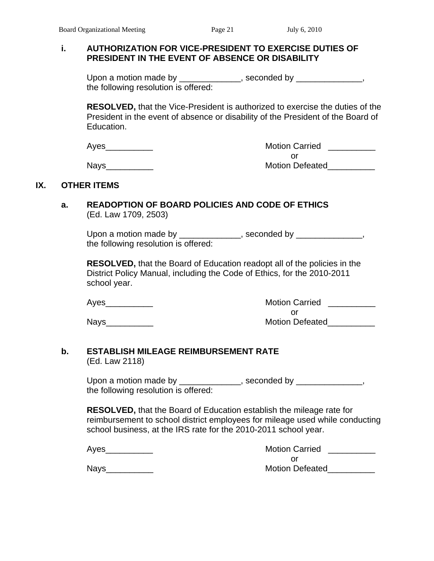### **i. AUTHORIZATION FOR VICE-PRESIDENT TO EXERCISE DUTIES OF PRESIDENT IN THE EVENT OF ABSENCE OR DISABILITY**

Upon a motion made by \_\_\_\_\_\_\_\_\_\_\_\_\_, seconded by \_\_\_\_\_\_\_\_\_\_\_\_\_, the following resolution is offered:

 **RESOLVED,** that the Vice-President is authorized to exercise the duties of the President in the event of absence or disability of the President of the Board of Education.

| Aves | <b>Motion Carried</b>  |  |
|------|------------------------|--|
|      |                        |  |
| Nays | <b>Motion Defeated</b> |  |

#### **IX. OTHER ITEMS**

#### **a. READOPTION OF BOARD POLICIES AND CODE OF ETHICS** (Ed. Law 1709, 2503)

Upon a motion made by \_\_\_\_\_\_\_\_\_\_\_\_\_, seconded by \_\_\_\_\_\_\_\_\_\_\_\_\_, the following resolution is offered:

 **RESOLVED,** that the Board of Education readopt all of the policies in the District Policy Manual, including the Code of Ethics, for the 2010-2011 school year.

Nays\_\_\_\_\_\_\_\_\_\_\_\_

| Ayes | <b>Motion Carried</b>  |  |
|------|------------------------|--|
|      |                        |  |
| Nays | <b>Motion Defeated</b> |  |

#### **b. ESTABLISH MILEAGE REIMBURSEMENT RATE**  (Ed. Law 2118)

Upon a motion made by \_\_\_\_\_\_\_\_\_\_\_\_\_, seconded by \_\_\_\_\_\_\_\_\_\_\_\_\_, the following resolution is offered:

 **RESOLVED,** that the Board of Education establish the mileage rate for reimbursement to school district employees for mileage used while conducting school business, at the IRS rate for the 2010-2011 school year.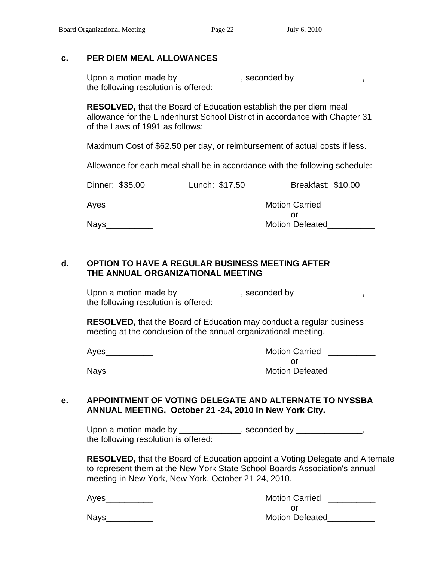#### **c. PER DIEM MEAL ALLOWANCES**

Upon a motion made by \_\_\_\_\_\_\_\_\_\_\_\_, seconded by \_\_\_\_\_\_\_\_\_\_\_\_, the following resolution is offered:

 **RESOLVED,** that the Board of Education establish the per diem meal allowance for the Lindenhurst School District in accordance with Chapter 31 of the Laws of 1991 as follows:

Maximum Cost of \$62.50 per day, or reimbursement of actual costs if less.

Allowance for each meal shall be in accordance with the following schedule:

| Dinner: \$35.00 | Lunch: \$17.50 | Breakfast: \$10.00    |
|-----------------|----------------|-----------------------|
| Ayes            |                | <b>Motion Carried</b> |
|                 |                | Οľ                    |

Nays\_\_\_\_\_\_\_\_\_\_ Motion Defeated\_\_\_\_\_\_\_\_\_\_

## **d. OPTION TO HAVE A REGULAR BUSINESS MEETING AFTER THE ANNUAL ORGANIZATIONAL MEETING**

Upon a motion made by \_\_\_\_\_\_\_\_\_\_\_\_\_, seconded by \_\_\_\_\_\_\_\_\_\_\_\_\_, the following resolution is offered:

 **RESOLVED,** that the Board of Education may conduct a regular business meeting at the conclusion of the annual organizational meeting.

Ayes **Axes** Ayes **Axes** Ayes **Axes** Assembly Motion Carried **Axes** Ayes **Axes** Ayes **Axes** Ayes **Axes** Ayes **Ayes** Ayes **Ayes Ayes Ayes Ayes Ayes Ayes Ayes Ayes Ayes Ayes Ayes Ayes Ayes Ayes Aye** or and the contract of the contract of the contract of the contract of the contract of the contract of the contract of the contract of the contract of the contract of the contract of the contract of the contract of the con Nays\_\_\_\_\_\_\_\_\_\_ Motion Defeated\_\_\_\_\_\_\_\_\_\_

#### **e. APPOINTMENT OF VOTING DELEGATE AND ALTERNATE TO NYSSBA ANNUAL MEETING, October 21 -24, 2010 In New York City.**

Upon a motion made by \_\_\_\_\_\_\_\_\_\_\_\_\_, seconded by \_\_\_\_\_\_\_\_\_\_\_\_\_, the following resolution is offered:

**RESOLVED,** that the Board of Education appoint a Voting Delegate and Alternate to represent them at the New York State School Boards Association's annual meeting in New York, New York. October 21-24, 2010.

| Aves | <b>Motion Carried</b>  |  |
|------|------------------------|--|
|      |                        |  |
| Nays | <b>Motion Defeated</b> |  |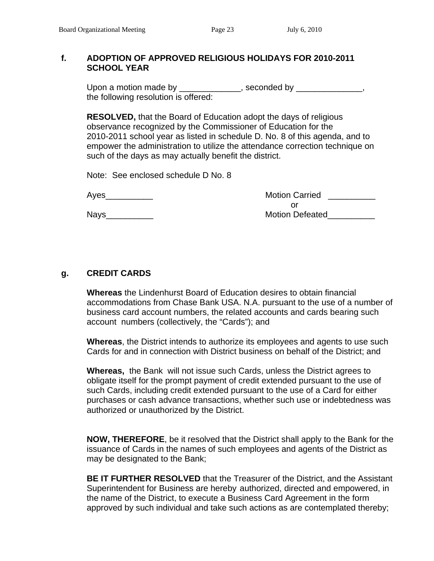#### **f. ADOPTION OF APPROVED RELIGIOUS HOLIDAYS FOR 2010-2011 SCHOOL YEAR**

Upon a motion made by \_\_\_\_\_\_\_\_\_\_\_\_\_, seconded by \_\_\_\_\_\_\_\_\_\_\_\_\_, the following resolution is offered:

 **RESOLVED,** that the Board of Education adopt the days of religious observance recognized by the Commissioner of Education for the 2010-2011 school year as listed in schedule D. No. 8 of this agenda, and to empower the administration to utilize the attendance correction technique on such of the days as may actually benefit the district.

Note: See enclosed schedule D No. 8

| Aves |  |  |
|------|--|--|
|      |  |  |

Motion Carried **Motion Carried** or and the contract of the contract of the contract of the contract of the contract of the contract of the contract of the contract of the contract of the contract of the contract of the contract of the contract of the con Nays\_\_\_\_\_\_\_\_\_\_ Motion Defeated\_\_\_\_\_\_\_\_\_\_

## **g. CREDIT CARDS**

 **Whereas** the Lindenhurst Board of Education desires to obtain financial accommodations from Chase Bank USA. N.A. pursuant to the use of a number of business card account numbers, the related accounts and cards bearing such account numbers (collectively, the "Cards"); and

 **Whereas**, the District intends to authorize its employees and agents to use such Cards for and in connection with District business on behalf of the District; and

 **Whereas,** the Bank will not issue such Cards, unless the District agrees to obligate itself for the prompt payment of credit extended pursuant to the use of such Cards, including credit extended pursuant to the use of a Card for either purchases or cash advance transactions, whether such use or indebtedness was authorized or unauthorized by the District.

 **NOW, THEREFORE**, be it resolved that the District shall apply to the Bank for the issuance of Cards in the names of such employees and agents of the District as may be designated to the Bank;

 **BE IT FURTHER RESOLVED** that the Treasurer of the District, and the Assistant Superintendent for Business are hereby authorized, directed and empowered, in the name of the District, to execute a Business Card Agreement in the form approved by such individual and take such actions as are contemplated thereby;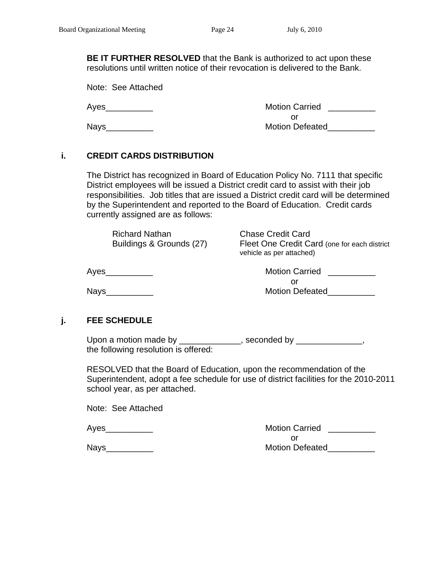**BE IT FURTHER RESOLVED** that the Bank is authorized to act upon these resolutions until written notice of their revocation is delivered to the Bank.

Note: See Attached

 Ayes\_\_\_\_\_\_\_\_\_\_ Motion Carried \_\_\_\_\_\_\_\_\_\_ or and the contract of the contract of the contract of the contract of the contract of the contract of the contract of the contract of the contract of the contract of the contract of the contract of the contract of the con Nays\_\_\_\_\_\_\_\_\_\_ Motion Defeated\_\_\_\_\_\_\_\_\_\_

## **i. CREDIT CARDS DISTRIBUTION**

The District has recognized in Board of Education Policy No. 7111 that specific District employees will be issued a District credit card to assist with their job responsibilities. Job titles that are issued a District credit card will be determined by the Superintendent and reported to the Board of Education. Credit cards currently assigned are as follows:

| <b>Chase Credit Card</b><br><b>Richard Nathan</b><br>Buildings & Grounds (27)<br>vehicle as per attached) | Fleet One Credit Card (one for each district |
|-----------------------------------------------------------------------------------------------------------|----------------------------------------------|
|-----------------------------------------------------------------------------------------------------------|----------------------------------------------|

 Ayes\_\_\_\_\_\_\_\_\_\_ Motion Carried \_\_\_\_\_\_\_\_\_\_ or and the contract of the contract of the contract of the contract of the contract of the contract of the contract of the contract of the contract of the contract of the contract of the contract of the contract of the con Nays\_\_\_\_\_\_\_\_\_\_ Motion Defeated\_\_\_\_\_\_\_\_\_\_

## **j. FEE SCHEDULE**

Upon a motion made by \_\_\_\_\_\_\_\_\_\_\_\_\_, seconded by \_\_\_\_\_\_\_\_\_\_\_\_\_, the following resolution is offered:

 RESOLVED that the Board of Education, upon the recommendation of the Superintendent, adopt a fee schedule for use of district facilities for the 2010-2011 school year, as per attached.

Note: See Attached